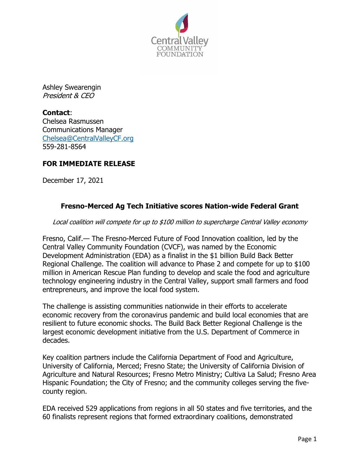

Ashley Swearengin President & CEO

**Contact**: Chelsea Rasmussen Communications Manager Chelsea@CentralValleyCF.org 559-281-8564

# **FOR IMMEDIATE RELEASE**

December 17, 2021

# **Fresno-Merced Ag Tech Initiative scores Nation-wide Federal Grant**

Local coalition will compete for up to \$100 million to supercharge Central Valley economy

Fresno, Calif.— The Fresno-Merced Future of Food Innovation coalition, led by the Central Valley Community Foundation (CVCF), was named by the Economic Development Administration (EDA) as a finalist in the \$1 billion Build Back Better Regional Challenge. The coalition will advance to Phase 2 and compete for up to \$100 million in American Rescue Plan funding to develop and scale the food and agriculture technology engineering industry in the Central Valley, support small farmers and food entrepreneurs, and improve the local food system.

The challenge is assisting communities nationwide in their efforts to accelerate economic recovery from the coronavirus pandemic and build local economies that are resilient to future economic shocks. The Build Back Better Regional Challenge is the largest economic development initiative from the U.S. Department of Commerce in decades.

Key coalition partners include the California Department of Food and Agriculture, University of California, Merced; Fresno State; the University of California Division of Agriculture and Natural Resources; Fresno Metro Ministry; Cultiva La Salud; Fresno Area Hispanic Foundation; the City of Fresno; and the community colleges serving the fivecounty region.

EDA received 529 applications from regions in all 50 states and five territories, and the 60 finalists represent regions that formed extraordinary coalitions, demonstrated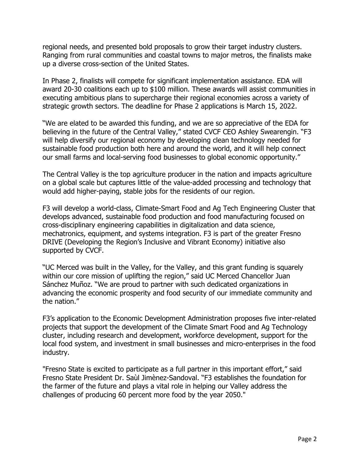regional needs, and presented bold proposals to grow their target industry clusters. Ranging from rural communities and coastal towns to major metros, the finalists make up a diverse cross-section of the United States.

In Phase 2, finalists will compete for significant implementation assistance. EDA will award 20-30 coalitions each up to \$100 million. These awards will assist communities in executing ambitious plans to supercharge their regional economies across a variety of strategic growth sectors. The deadline for Phase 2 applications is March 15, 2022.

"We are elated to be awarded this funding, and we are so appreciative of the EDA for believing in the future of the Central Valley," stated CVCF CEO Ashley Swearengin. "F3 will help diversify our regional economy by developing clean technology needed for sustainable food production both here and around the world, and it will help connect our small farms and local-serving food businesses to global economic opportunity."

The Central Valley is the top agriculture producer in the nation and impacts agriculture on a global scale but captures little of the value-added processing and technology that would add higher-paying, stable jobs for the residents of our region.

F3 will develop a world-class, Climate-Smart Food and Ag Tech Engineering Cluster that develops advanced, sustainable food production and food manufacturing focused on cross-disciplinary engineering capabilities in digitalization and data science, mechatronics, equipment, and systems integration. F3 is part of the greater Fresno DRIVE (Developing the Region's Inclusive and Vibrant Economy) initiative also supported by CVCF.

"UC Merced was built in the Valley, for the Valley, and this grant funding is squarely within our core mission of uplifting the region," said UC Merced Chancellor Juan Sánchez Muñoz. "We are proud to partner with such dedicated organizations in advancing the economic prosperity and food security of our immediate community and the nation."

F3's application to the Economic Development Administration proposes five inter-related projects that support the development of the Climate Smart Food and Ag Technology cluster, including research and development, workforce development, support for the local food system, and investment in small businesses and micro-enterprises in the food industry.

"Fresno State is excited to participate as a full partner in this important effort," said Fresno State President Dr. Saùl Jimènez-Sandoval. "F3 establishes the foundation for the farmer of the future and plays a vital role in helping our Valley address the challenges of producing 60 percent more food by the year 2050."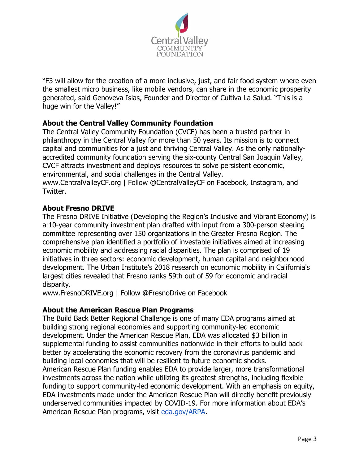

"F3 will allow for the creation of a more inclusive, just, and fair food system where even the smallest micro business, like mobile vendors, can share in the economic prosperity generated, said Genoveva Islas, Founder and Director of Cultiva La Salud. "This is a huge win for the Valley!"

# **About the Central Valley Community Foundation**

The Central Valley Community Foundation (CVCF) has been a trusted partner in philanthropy in the Central Valley for more than 50 years. Its mission is to connect capital and communities for a just and thriving Central Valley. As the only nationallyaccredited community foundation serving the six-county Central San Joaquin Valley, CVCF attracts investment and deploys resources to solve persistent economic, environmental, and social challenges in the Central Valley.

www.CentralValleyCF.org | Follow @CentralValleyCF on Facebook, Instagram, and Twitter.

### **About Fresno DRIVE**

The Fresno DRIVE Initiative (Developing the Region's Inclusive and Vibrant Economy) is a 10-year community investment plan drafted with input from a 300-person steering committee representing over 150 organizations in the Greater Fresno Region. The comprehensive plan identified a portfolio of investable initiatives aimed at increasing economic mobility and addressing racial disparities. The plan is comprised of 19 initiatives in three sectors: economic development, human capital and neighborhood development. The Urban Institute's 2018 research on economic mobility in California's largest cities revealed that Fresno ranks 59th out of 59 for economic and racial disparity.

www.FresnoDRIVE.org | Follow @FresnoDrive on Facebook

### **About the American Rescue Plan Programs**

The Build Back Better Regional Challenge is one of many EDA programs aimed at building strong regional economies and supporting community-led economic development. Under the American Rescue Plan, EDA was allocated \$3 billion in supplemental funding to assist communities nationwide in their efforts to build back better by accelerating the economic recovery from the coronavirus pandemic and building local economies that will be resilient to future economic shocks. American Rescue Plan funding enables EDA to provide larger, more transformational investments across the nation while utilizing its greatest strengths, including flexible funding to support community-led economic development. With an emphasis on equity, EDA investments made under the American Rescue Plan will directly benefit previously underserved communities impacted by COVID-19. For more information about EDA's American Rescue Plan programs, visit eda.gov/ARPA.